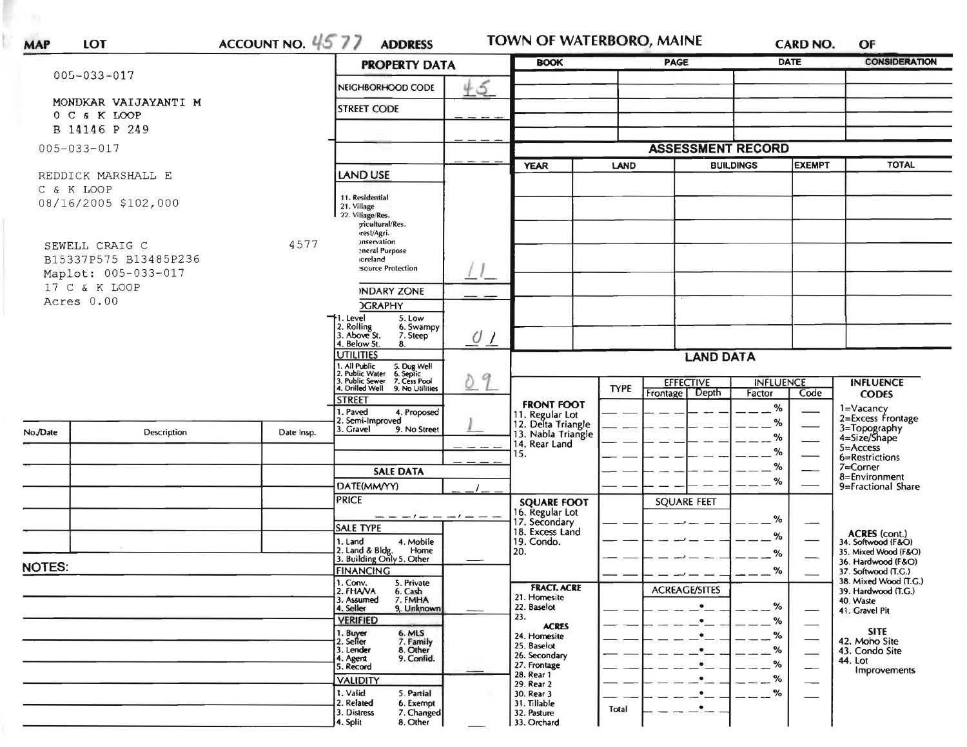| <b>MAP</b>    | <b>LOT</b>                           | ACCOUNT NO. 4577 | <b>ADDRESS</b>                                                                         |                  | TOWN OF WATERBORO, MAINE              |             |                      |                                                                                                                                 | <b>CARD NO.</b> | OF                                                                                                                                                                                                                                                                                                                                                                                                                                                              |  |
|---------------|--------------------------------------|------------------|----------------------------------------------------------------------------------------|------------------|---------------------------------------|-------------|----------------------|---------------------------------------------------------------------------------------------------------------------------------|-----------------|-----------------------------------------------------------------------------------------------------------------------------------------------------------------------------------------------------------------------------------------------------------------------------------------------------------------------------------------------------------------------------------------------------------------------------------------------------------------|--|
|               | $005 - 033 - 017$                    |                  | <b>PROPERTY DATA</b>                                                                   |                  | <b>BOOK</b>                           |             | <b>PAGE</b>          |                                                                                                                                 | <b>DATE</b>     | <b>CONSIDERATION</b>                                                                                                                                                                                                                                                                                                                                                                                                                                            |  |
|               |                                      |                  | NEIGHBORHOOD CODE                                                                      | 45               |                                       |             |                      |                                                                                                                                 |                 |                                                                                                                                                                                                                                                                                                                                                                                                                                                                 |  |
|               | MONDKAR VAIJAYANTI M<br>0 C & K LOOP |                  | <b>STREET CODE</b>                                                                     |                  |                                       |             |                      |                                                                                                                                 |                 |                                                                                                                                                                                                                                                                                                                                                                                                                                                                 |  |
|               | B 14146 P 249                        |                  |                                                                                        |                  |                                       |             |                      |                                                                                                                                 |                 |                                                                                                                                                                                                                                                                                                                                                                                                                                                                 |  |
|               | $005 - 033 - 017$                    |                  |                                                                                        |                  | <b>ASSESSMENT RECORD</b>              |             |                      |                                                                                                                                 |                 |                                                                                                                                                                                                                                                                                                                                                                                                                                                                 |  |
|               |                                      |                  |                                                                                        |                  | <b>YEAR</b>                           | LAND        |                      |                                                                                                                                 | <b>EXEMPT</b>   | <b>TOTAL</b>                                                                                                                                                                                                                                                                                                                                                                                                                                                    |  |
|               | REDDICK MARSHALL E                   |                  | <b>LAND USE</b>                                                                        |                  |                                       |             |                      |                                                                                                                                 |                 |                                                                                                                                                                                                                                                                                                                                                                                                                                                                 |  |
| C & K LOOP    |                                      |                  | 11. Residential                                                                        |                  |                                       |             |                      |                                                                                                                                 |                 |                                                                                                                                                                                                                                                                                                                                                                                                                                                                 |  |
|               | 08/16/2005 \$102,000                 |                  | 21. Village<br>22. Village/Res.                                                        |                  |                                       |             |                      |                                                                                                                                 |                 |                                                                                                                                                                                                                                                                                                                                                                                                                                                                 |  |
|               |                                      |                  | <i>gicultural/Res.</i><br>rest/Agri.                                                   |                  |                                       |             |                      |                                                                                                                                 |                 |                                                                                                                                                                                                                                                                                                                                                                                                                                                                 |  |
|               | SEWELL CRAIG C                       | 4577             | onservation                                                                            |                  |                                       |             |                      |                                                                                                                                 |                 | <b>INFLUENCE</b><br><b>CODES</b><br>1=Vacancy<br>2=Excess Frontage<br>3=Topography<br>4=Size/Shape<br>$5 =$ Access<br>6=Restrictions<br>7=Corner<br>8=Environment<br>9=Fractional Share<br>ACRES (cont.)<br>34. Softwood (F&O)<br>35. Mixed Wood (F&O)<br>36. Hardwood (F&O)<br>37. Softwood (T.G.)<br>38. Mixed Wood (T.G.)<br>39. Hardwood (T.G.)<br>40. Waste<br>41. Gravel Pit<br><b>SITE</b><br>42. Moho Site<br>43. Condo Site<br>44. Lot<br>Improvements |  |
|               | B15337P575 B13485P236                |                  | eneral Purpose<br><b>oreland</b>                                                       |                  |                                       |             |                      |                                                                                                                                 |                 |                                                                                                                                                                                                                                                                                                                                                                                                                                                                 |  |
|               | Maplot: 005-033-017                  |                  | source Protection                                                                      |                  |                                       |             |                      |                                                                                                                                 |                 |                                                                                                                                                                                                                                                                                                                                                                                                                                                                 |  |
|               | 17 C & K LOOP                        |                  | <b>INDARY ZONE</b>                                                                     |                  |                                       |             |                      |                                                                                                                                 |                 |                                                                                                                                                                                                                                                                                                                                                                                                                                                                 |  |
|               | Acres 0.00                           |                  | <b>CRAPHY</b>                                                                          |                  |                                       |             |                      |                                                                                                                                 |                 |                                                                                                                                                                                                                                                                                                                                                                                                                                                                 |  |
|               |                                      |                  | →1. Level<br>5. Low<br>2. Rolling<br>3. Above St.<br>6. Swampy                         |                  |                                       |             |                      |                                                                                                                                 |                 |                                                                                                                                                                                                                                                                                                                                                                                                                                                                 |  |
|               |                                      |                  | 7. Steep<br>4. Below St.<br>8.                                                         | $\frac{0}{2}$    |                                       |             |                      |                                                                                                                                 |                 |                                                                                                                                                                                                                                                                                                                                                                                                                                                                 |  |
|               |                                      |                  | <b>UTILITIES</b>                                                                       | <b>LAND DATA</b> |                                       |             |                      |                                                                                                                                 |                 |                                                                                                                                                                                                                                                                                                                                                                                                                                                                 |  |
|               |                                      |                  | 1. All Public 5. Dug Well<br>2. Public Water 6. Septic<br>3. Public Sewer 7. Cess Pool | 9                |                                       |             | <b>EFFECTIVE</b>     |                                                                                                                                 |                 |                                                                                                                                                                                                                                                                                                                                                                                                                                                                 |  |
|               |                                      |                  | 4. Drilled Well 9. No Utilities                                                        |                  |                                       | <b>TYPE</b> | Frontage Depth       | Factor                                                                                                                          | Code            |                                                                                                                                                                                                                                                                                                                                                                                                                                                                 |  |
|               |                                      |                  | <b>STREET</b><br>I. Paved<br>4. Proposed                                               |                  | <b>FRONT FOOT</b><br>11. Regular Lot  |             |                      | $\%$                                                                                                                            |                 |                                                                                                                                                                                                                                                                                                                                                                                                                                                                 |  |
|               | Description                          |                  | 2. Semi-Improved<br>3. Gravel<br>9. No Street                                          |                  | 12. Delta Triangle                    |             |                      | %                                                                                                                               |                 |                                                                                                                                                                                                                                                                                                                                                                                                                                                                 |  |
| No./Date      |                                      | Date Insp.       |                                                                                        |                  | 13. Nabla Triangle<br>14. Rear Land   |             |                      |                                                                                                                                 |                 |                                                                                                                                                                                                                                                                                                                                                                                                                                                                 |  |
|               |                                      |                  |                                                                                        |                  | 15.                                   |             |                      |                                                                                                                                 |                 |                                                                                                                                                                                                                                                                                                                                                                                                                                                                 |  |
|               |                                      |                  | <b>SALE DATA</b>                                                                       |                  |                                       |             |                      | <b>BUILDINGS</b><br><b>INFLUENCE</b><br>%<br>$\%$<br>%<br>%<br>$\%$<br>%<br>%<br>$\%$<br>%<br>%<br>%<br>$-$ %<br>$-$ %<br>$-$ % |                 |                                                                                                                                                                                                                                                                                                                                                                                                                                                                 |  |
|               |                                      |                  | DATE(MM/YY)                                                                            |                  |                                       |             |                      |                                                                                                                                 |                 |                                                                                                                                                                                                                                                                                                                                                                                                                                                                 |  |
|               |                                      |                  | <b>PRICE</b>                                                                           |                  | <b>SQUARE FOOT</b><br>16. Regular Lot |             | <b>SQUARE FEET</b>   |                                                                                                                                 |                 |                                                                                                                                                                                                                                                                                                                                                                                                                                                                 |  |
|               |                                      |                  | — — <i>—! — — —! — —</i> —<br><b>SALE TYPE</b>                                         |                  | 17. Secondary<br>18. Excess Land      |             |                      |                                                                                                                                 |                 |                                                                                                                                                                                                                                                                                                                                                                                                                                                                 |  |
|               |                                      |                  | 1. Land<br>4. Mobile                                                                   |                  | 19. Condo.                            |             |                      |                                                                                                                                 |                 |                                                                                                                                                                                                                                                                                                                                                                                                                                                                 |  |
|               |                                      |                  | 2. Land & Bldg. Home<br>3. Building Only 5. Other<br>Home                              |                  | 20.                                   |             |                      |                                                                                                                                 |                 |                                                                                                                                                                                                                                                                                                                                                                                                                                                                 |  |
| <b>NOTES:</b> |                                      |                  | <b>FINANCING</b>                                                                       |                  |                                       |             |                      |                                                                                                                                 |                 |                                                                                                                                                                                                                                                                                                                                                                                                                                                                 |  |
|               |                                      |                  | 1. Conv.<br>5. Private<br>2. FHAVA<br>6. Cash                                          |                  | <b>FRACT. ACRE</b><br>21. Homesite    |             | <b>ACREAGE/SITES</b> |                                                                                                                                 |                 |                                                                                                                                                                                                                                                                                                                                                                                                                                                                 |  |
|               |                                      |                  | 7. FMHA<br>3. Assumed<br>4. Seller<br>9. Unknown                                       |                  | 22. Baselot                           |             | $\bullet$            |                                                                                                                                 |                 |                                                                                                                                                                                                                                                                                                                                                                                                                                                                 |  |
|               |                                      |                  | <b>VERIFIED</b>                                                                        |                  | 23.<br><b>ACRES</b>                   |             | $\bullet$            |                                                                                                                                 |                 |                                                                                                                                                                                                                                                                                                                                                                                                                                                                 |  |
|               |                                      |                  | 1. Buyer<br>2. Seller<br>6. MLS<br>7. Family                                           |                  | 24. Homesite<br>25. Baselot           |             | ٠                    |                                                                                                                                 |                 |                                                                                                                                                                                                                                                                                                                                                                                                                                                                 |  |
|               |                                      |                  | 3. Lender<br>8. Other<br>9. Confid.<br>4. Agent                                        |                  | 26. Secondary                         |             | $\bullet$            |                                                                                                                                 |                 |                                                                                                                                                                                                                                                                                                                                                                                                                                                                 |  |
|               |                                      |                  | 5. Record                                                                              |                  | 27. Frontage<br>28. Rear 1            |             | $\bullet$            |                                                                                                                                 |                 |                                                                                                                                                                                                                                                                                                                                                                                                                                                                 |  |
|               |                                      |                  | <b>VALIDITY</b><br>$\mathbf{X} \in \mathbb{R}$                                         |                  | 29. Rear 2                            |             | $\cdot$              |                                                                                                                                 |                 |                                                                                                                                                                                                                                                                                                                                                                                                                                                                 |  |

2. Related

3. Distress<br>4. Split

5. Partial

6. Exempt

7. Changed<br>8. Other

1. Valid

 $- -$  %

 $-$ 

 $\bullet$ 

Total

30. Rear 3

31. Tillable

32. Pasture 33. Orchard  $\frac{1}{1}$